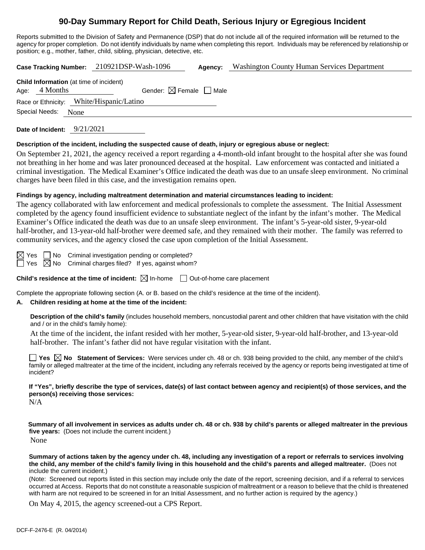# **90-Day Summary Report for Child Death, Serious Injury or Egregious Incident**

Reports submitted to the Division of Safety and Permanence (DSP) that do not include all of the required information will be returned to the agency for proper completion. Do not identify individuals by name when completing this report. Individuals may be referenced by relationship or position; e.g., mother, father, child, sibling, physician, detective, etc.

**Case Tracking Number:** 210921DSP-Wash-1096 **Agency:** Washington County Human Services Department

| <b>Child Information</b> (at time of incident) |               |                                        |  |  |  |
|------------------------------------------------|---------------|----------------------------------------|--|--|--|
|                                                | Age: 4 Months | Gender: $\boxtimes$ Female $\Box$ Male |  |  |  |
| Race or Ethnicity: White/Hispanic/Latino       |               |                                        |  |  |  |
| Special Needs: None                            |               |                                        |  |  |  |

**Date of Incident:** 9/21/2021

#### **Description of the incident, including the suspected cause of death, injury or egregious abuse or neglect:**

On September 21, 2021, the agency received a report regarding a 4-month-old infant brought to the hospital after she was found not breathing in her home and was later pronounced deceased at the hospital. Law enforcement was contacted and initiated a criminal investigation. The Medical Examiner's Office indicated the death was due to an unsafe sleep environment. No criminal charges have been filed in this case, and the investigation remains open.

#### **Findings by agency, including maltreatment determination and material circumstances leading to incident:**

The agency collaborated with law enforcement and medical professionals to complete the assessment. The Initial Assessment completed by the agency found insufficient evidence to substantiate neglect of the infant by the infant's mother. The Medical Examiner's Office indicated the death was due to an unsafe sleep environment. The infant's 5-year-old sister, 9-year-old half-brother, and 13-year-old half-brother were deemed safe, and they remained with their mother. The family was referred to community services, and the agency closed the case upon completion of the Initial Assessment.

 $\boxtimes$  Yes  $\Box$  No Criminal investigation pending or completed?  $\Box$  Yes  $\boxtimes$  No Criminal charges filed? If yes, against whom?

**Child's residence at the time of incident:**  $\boxtimes$  In-home  $\Box$  Out-of-home care placement

Complete the appropriate following section (A. or B. based on the child's residence at the time of the incident).

#### **A. Children residing at home at the time of the incident:**

**Description of the child's family** (includes household members, noncustodial parent and other children that have visitation with the child and / or in the child's family home):

At the time of the incident, the infant resided with her mother, 5-year-old sister, 9-year-old half-brother, and 13-year-old half-brother. The infant's father did not have regular visitation with the infant.

**Yes No Statement of Services:** Were services under ch. 48 or ch. 938 being provided to the child, any member of the child's family or alleged maltreater at the time of the incident, including any referrals received by the agency or reports being investigated at time of incident?

**If "Yes", briefly describe the type of services, date(s) of last contact between agency and recipient(s) of those services, and the person(s) receiving those services:** N/A

**Summary of all involvement in services as adults under ch. 48 or ch. 938 by child's parents or alleged maltreater in the previous five years:** (Does not include the current incident.) None

**Summary of actions taken by the agency under ch. 48, including any investigation of a report or referrals to services involving the child, any member of the child's family living in this household and the child's parents and alleged maltreater.** (Does not include the current incident.)

(Note: Screened out reports listed in this section may include only the date of the report, screening decision, and if a referral to services occurred at Access. Reports that do not constitute a reasonable suspicion of maltreatment or a reason to believe that the child is threatened with harm are not required to be screened in for an Initial Assessment, and no further action is required by the agency.)

On May 4, 2015, the agency screened-out a CPS Report.